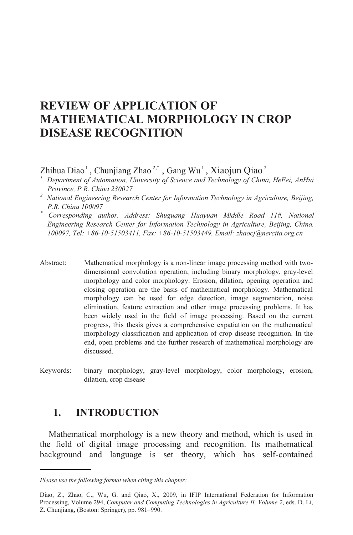# **REVIEW OF APPLICATION OF MATHEMATICAL MORPHOLOGY IN CROP DISEASE RECOGNITION**

Zhihua Diao $^1$ , Chunjiang Zhao $^{2,*}$  , Gang Wu $^1$ , Xiaojun Qiao $^2$ 

- <sup>1</sup> Department of Automation, University of Science and Technology of China, HeFei, AnHui *Province, P.R. China 230027*
- <sup>2</sup> National Engineering Research Center for Information Technology in Agriculture, Beijing, *P.R. China 100097 \* Corresponding author, Address: Shuguang Huayuan Middle Road 11#, National*
- *Engineering Research Center for Information Technology in Agriculture, Beijing, China, 100097, Tel: +86-10-51503411, Fax: +86-10-51503449, Email: zhaocj@nercita.org.cn*
- Abstract: Mathematical morphology is a non-linear image processing method with twodimensional convolution operation, including binary morphology, gray-level morphology and color morphology. Erosion, dilation, opening operation and closing operation are the basis of mathematical morphology. Mathematical morphology can be used for edge detection, image segmentation, noise been widely used in the field of image processing. Based on the current progress, this thesis gives a comprehensive expatiation on the mathematical morphology classification and application of crop disease recognition. In the end, open problems and the further research of mathematical morphology are discussed. elimination, feature extraction and other image processing problems. It has
- Keywords: binary morphology, gray-level morphology, color morphology, erosion, dilation, crop disease

## **1. INTRODUCTION**

Mathematical morphology is a new theory and method, which is used in the field of digital image processing and recognition. Its mathematical background and language is set theory, which has self-contained

*Please use the following format when citing this chapter:*

Diao, Z., Zhao, C., Wu, G. and Qiao, X., 2009, in IFIP International Federation for Information Z. Chunjiang, (Boston: Springer), pp. 981–990. Processing, Volume 294, *Computer and Computing Technologies in Agriculture II, Volume 2*, eds. D. Li,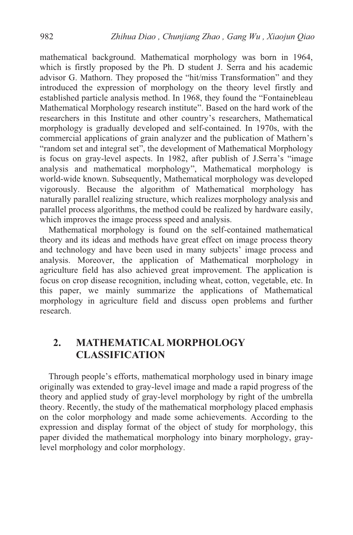mathematical background. Mathematical morphology was born in 1964, which is firstly proposed by the Ph. D student J. Serra and his academic advisor G. Mathorn. They proposed the "hit/miss Transformation" and they introduced the expression of morphology on the theory level firstly and established particle analysis method. In 1968, they found the "Fontainebleau Mathematical Morphology research institute". Based on the hard work of the researchers in this Institute and other country's researchers, Mathematical morphology is gradually developed and self-contained. In 1970s, with the commercial applications of grain analyzer and the publication of Mathern's "random set and integral set", the development of Mathematical Morphology is focus on gray-level aspects. In 1982, after publish of J.Serra's "image analysis and mathematical morphology", Mathematical morphology is world-wide known. Subsequently, Mathematical morphology was developed vigorously. Because the algorithm of Mathematical morphology has naturally parallel realizing structure, which realizes morphology analysis and parallel process algorithms, the method could be realized by hardware easily, which improves the image process speed and analysis.

Mathematical morphology is found on the self-contained mathematical theory and its ideas and methods have great effect on image process theory and technology and have been used in many subjects' image process and analysis. Moreover, the application of Mathematical morphology in agriculture field has also achieved great improvement. The application is focus on crop disease recognition, including wheat, cotton, vegetable, etc. In this paper, we mainly summarize the applications of Mathematical morphology in agriculture field and discuss open problems and further research.

## **2. MATHEMATICAL MORPHOLOGY CLASSIFICATION**

Through people's efforts, mathematical morphology used in binary image originally was extended to gray-level image and made a rapid progress of the theory and applied study of gray-level morphology by right of the umbrella theory. Recently, the study of the mathematical morphology placed emphasis on the color morphology and made some achievements. According to the expression and display format of the object of study for morphology, this paper divided the mathematical morphology into binary morphology, graylevel morphology and color morphology.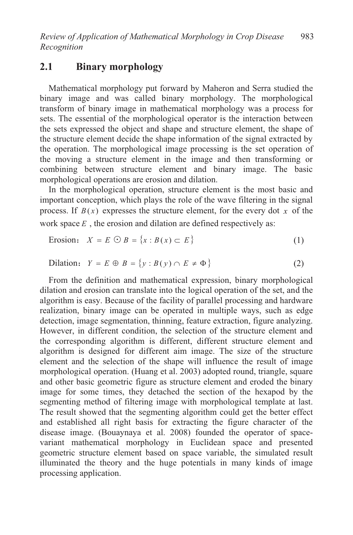## **2.1 Binary morphology**

Mathematical morphology put forward by Maheron and Serra studied the binary image and was called binary morphology. The morphological transform of binary image in mathematical morphology was a process for sets. The essential of the morphological operator is the interaction between the sets expressed the object and shape and structure element, the shape of the structure element decide the shape information of the signal extracted by the operation. The morphological image processing is the set operation of the moving a structure element in the image and then transforming or combining between structure element and binary image. The basic morphological operations are erosion and dilation.

In the morphological operation, structure element is the most basic and important conception, which plays the role of the wave filtering in the signal process. If  $B(x)$  expresses the structure element, for the every dot x of the work space  $E$ , the erosion and dilation are defined respectively as:

Erosion: 
$$
X = E \odot B = \{x : B(x) \subset E\}
$$
 (1)

$$
\text{Dilation:} \quad Y = E \oplus B = \{ y : B(y) \cap E \neq \Phi \} \tag{2}
$$

From the definition and mathematical expression, binary morphological dilation and erosion can translate into the logical operation of the set, and the algorithm is easy. Because of the facility of parallel processing and hardware realization, binary image can be operated in multiple ways, such as edge detection, image segmentation, thinning, feature extraction, figure analyzing. However, in different condition, the selection of the structure element and the corresponding algorithm is different, different structure element and algorithm is designed for different aim image. The size of the structure element and the selection of the shape will influence the result of image morphological operation. (Huang et al. 2003) adopted round, triangle, square and other basic geometric figure as structure element and eroded the binary image for some times, they detached the section of the hexapod by the segmenting method of filtering image with morphological template at last. The result showed that the segmenting algorithm could get the better effect and established all right basis for extracting the figure character of the disease image. (Bouaynaya et al. 2008) founded the operator of spacevariant mathematical morphology in Euclidean space and presented geometric structure element based on space variable, the simulated result illuminated the theory and the huge potentials in many kinds of image processing application.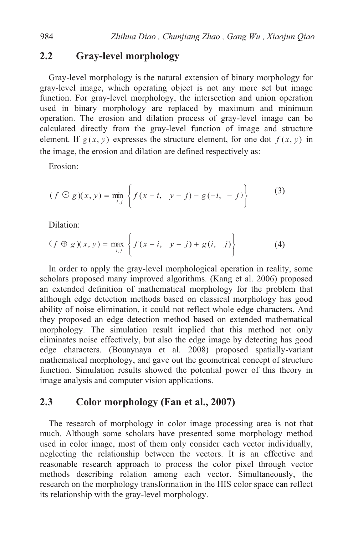## **2.2 Gray-level morphology**

Gray-level morphology is the natural extension of binary morphology for gray-level image, which operating object is not any more set but image function. For gray-level morphology, the intersection and union operation used in binary morphology are replaced by maximum and minimum operation. The erosion and dilation process of gray-level image can be calculated directly from the gray-level function of image and structure element. If  $g(x, y)$  expresses the structure element, for one dot  $f(x, y)$  in the image, the erosion and dilation are defined respectively as:

Erosion:

$$
(f \odot g)(x, y) = \min_{i,j} \left\{ f(x - i, y - j) - g(-i, -j) \right\}
$$
 (3)

Dilation:

$$
(f \oplus g)(x, y) = \max_{i,j} \left\{ f(x - i, y - j) + g(i, j) \right\}
$$
 (4)

In order to apply the gray-level morphological operation in reality, some scholars proposed many improved algorithms. (Kang et al. 2006) proposed an extended definition of mathematical morphology for the problem that although edge detection methods based on classical morphology has good ability of noise elimination, it could not reflect whole edge characters. And they proposed an edge detection method based on extended mathematical morphology. The simulation result implied that this method not only eliminates noise effectively, but also the edge image by detecting has good edge characters. (Bouaynaya et al. 2008) proposed spatially-variant mathematical morphology, and gave out the geometrical concept of structure function. Simulation results showed the potential power of this theory in image analysis and computer vision applications.

#### **2.3 Color morphology (Fan et al., 2007)**

The research of morphology in color image processing area is not that much. Although some scholars have presented some morphology method used in color image, most of them only consider each vector individually, neglecting the relationship between the vectors. It is an effective and reasonable research approach to process the color pixel through vector methods describing relation among each vector. Simultaneously, the research on the morphology transformation in the HIS color space can reflect its relationship with the gray-level morphology.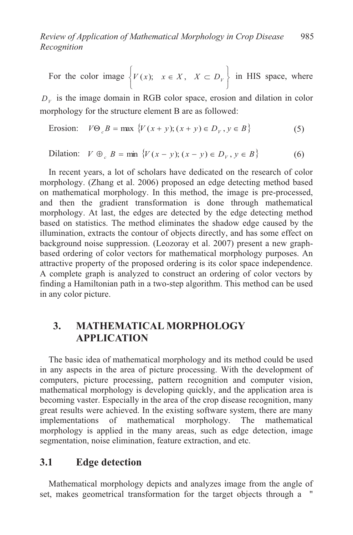For the color image J  $\left\{ \right\}$ L ' (  $\left\{V(x); x \in X, X \subset D_{\nu} \right\}$  in HIS space, where

 $D<sub>v</sub>$  is the image domain in RGB color space, erosion and dilation in color morphology for the structure element B are as followed:

Erosion: 
$$
V\Theta_c B = \max \{V(x+y); (x+y) \in D_y, y \in B\}
$$
 (5)

Dilation:  $V \oplus B = \min \{ V(x - y); (x - y) \in D_y, y \in B \}$  (6)

In recent years, a lot of scholars have dedicated on the research of color morphology. (Zhang et al. 2006) proposed an edge detecting method based on mathematical morphology. In this method, the image is pre-processed, and then the gradient transformation is done through mathematical morphology. At last, the edges are detected by the edge detecting method based on statistics. The method eliminates the shadow edge caused by the illumination, extracts the contour of objects directly, and has some effect on background noise suppression. (Leozoray et al. 2007) present a new graphbased ordering of color vectors for mathematical morphology purposes. An attractive property of the proposed ordering is its color space independence. A complete graph is analyzed to construct an ordering of color vectors by finding a Hamiltonian path in a two-step algorithm. This method can be used in any color picture.

# **3. MATHEMATICAL MORPHOLOGY APPLICATION**

The basic idea of mathematical morphology and its method could be used in any aspects in the area of picture processing. With the development of computers, picture processing, pattern recognition and computer vision, mathematical morphology is developing quickly, and the application area is becoming vaster. Especially in the area of the crop disease recognition, many great results were achieved. In the existing software system, there are many implementations of mathematical morphology. The mathematical morphology is applied in the many areas, such as edge detection, image segmentation, noise elimination, feature extraction, and etc.

## **3.1 Edge detection**

Mathematical morphology depicts and analyzes image from the angle of set, makes geometrical transformation for the target objects through a "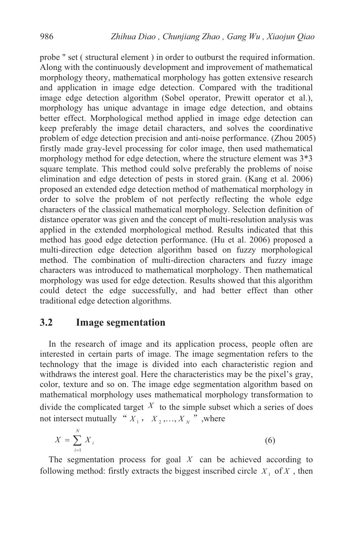probe " set ( structural element ) in order to outburst the required information. Along with the continuously development and improvement of mathematical morphology theory, mathematical morphology has gotten extensive research and application in image edge detection. Compared with the traditional image edge detection algorithm (Sobel operator, Prewitt operator et al.), morphology has unique advantage in image edge detection, and obtains better effect. Morphological method applied in image edge detection can keep preferably the image detail characters, and solves the coordinative problem of edge detection precision and anti-noise performance. (Zhou 2005) firstly made gray-level processing for color image, then used mathematical morphology method for edge detection, where the structure element was 3\*3 square template. This method could solve preferably the problems of noise elimination and edge detection of pests in stored grain. (Kang et al. 2006) proposed an extended edge detection method of mathematical morphology in order to solve the problem of not perfectly reflecting the whole edge characters of the classical mathematical morphology. Selection definition of distance operator was given and the concept of multi-resolution analysis was applied in the extended morphological method. Results indicated that this method has good edge detection performance. (Hu et al. 2006) proposed a multi-direction edge detection algorithm based on fuzzy morphological method. The combination of multi-direction characters and fuzzy image characters was introduced to mathematical morphology. Then mathematical morphology was used for edge detection. Results showed that this algorithm could detect the edge successfully, and had better effect than other traditional edge detection algorithms.

## **3.2 Image segmentation**

In the research of image and its application process, people often are interested in certain parts of image. The image segmentation refers to the technology that the image is divided into each characteristic region and withdraws the interest goal. Here the characteristics may be the pixel's gray, color, texture and so on. The image edge segmentation algorithm based on mathematical morphology uses mathematical morphology transformation to divide the complicated target  $X$  to the simple subset which a series of does not intersect mutually  $X_1, X_2, ..., X_N$  , where

$$
X = \sum_{i=1}^{N} X_i
$$
 (6)

The segmentation process for goal *X* can be achieved according to following method: firstly extracts the biggest inscribed circle  $X_1$  of  $X_2$ , then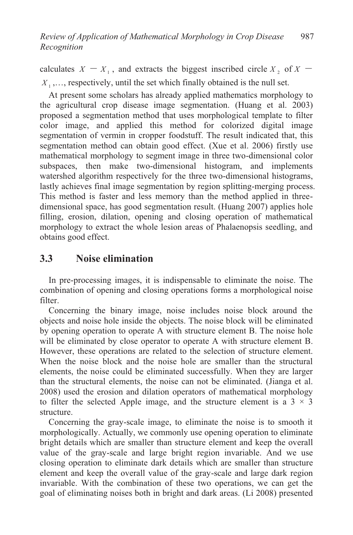calculates  $X - X_1$ , and extracts the biggest inscribed circle  $X_2$  of  $X X_1, \ldots$ , respectively, until the set which finally obtained is the null set.

At present some scholars has already applied mathematics morphology to the agricultural crop disease image segmentation. (Huang et al. 2003) proposed a segmentation method that uses morphological template to filter color image, and applied this method for colorized digital image segmentation of vermin in cropper foodstuff. The result indicated that, this segmentation method can obtain good effect. (Xue et al. 2006) firstly use mathematical morphology to segment image in three two-dimensional color subspaces, then make two-dimensional histogram, and implements watershed algorithm respectively for the three two-dimensional histograms, lastly achieves final image segmentation by region splitting-merging process. This method is faster and less memory than the method applied in threedimensional space, has good segmentation result. (Huang 2007) applies hole filling, erosion, dilation, opening and closing operation of mathematical morphology to extract the whole lesion areas of Phalaenopsis seedling, and obtains good effect.

# **3.3 Noise elimination**

In pre-processing images, it is indispensable to eliminate the noise. The combination of opening and closing operations forms a morphological noise filter.

Concerning the binary image, noise includes noise block around the objects and noise hole inside the objects. The noise block will be eliminated by opening operation to operate A with structure element B. The noise hole will be eliminated by close operator to operate A with structure element B. However, these operations are related to the selection of structure element. When the noise block and the noise hole are smaller than the structural elements, the noise could be eliminated successfully. When they are larger than the structural elements, the noise can not be eliminated. (Jianga et al. 2008) used the erosion and dilation operators of mathematical morphology to filter the selected Apple image, and the structure element is a  $3 \times 3$ structure.

Concerning the gray-scale image, to eliminate the noise is to smooth it morphologically. Actually, we commonly use opening operation to eliminate bright details which are smaller than structure element and keep the overall value of the gray-scale and large bright region invariable. And we use closing operation to eliminate dark details which are smaller than structure element and keep the overall value of the gray-scale and large dark region invariable. With the combination of these two operations, we can get the goal of eliminating noises both in bright and dark areas. (Li 2008) presented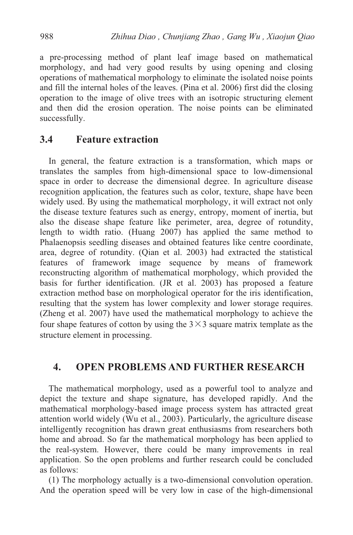a pre-processing method of plant leaf image based on mathematical morphology, and had very good results by using opening and closing operations of mathematical morphology to eliminate the isolated noise points and fill the internal holes of the leaves. (Pina et al. 2006) first did the closing operation to the image of olive trees with an isotropic structuring element and then did the erosion operation. The noise points can be eliminated successfully.

## **3.4 Feature extraction**

In general, the feature extraction is a transformation, which maps or translates the samples from high-dimensional space to low-dimensional space in order to decrease the dimensional degree. In agriculture disease recognition application, the features such as color, texture, shape have been widely used. By using the mathematical morphology, it will extract not only the disease texture features such as energy, entropy, moment of inertia, but also the disease shape feature like perimeter, area, degree of rotundity, length to width ratio. (Huang 2007) has applied the same method to Phalaenopsis seedling diseases and obtained features like centre coordinate, area, degree of rotundity. (Qian et al. 2003) had extracted the statistical features of framework image sequence by means of framework reconstructing algorithm of mathematical morphology, which provided the basis for further identification. (JR et al. 2003) has proposed a feature extraction method base on morphological operator for the iris identification, resulting that the system has lower complexity and lower storage requires. (Zheng et al. 2007) have used the mathematical morphology to achieve the four shape features of cotton by using the  $3\times3$  square matrix template as the structure element in processing.

## **4. OPEN PROBLEMS AND FURTHER RESEARCH**

The mathematical morphology, used as a powerful tool to analyze and depict the texture and shape signature, has developed rapidly. And the mathematical morphology-based image process system has attracted great attention world widely (Wu et al., 2003). Particularly, the agriculture disease intelligently recognition has drawn great enthusiasms from researchers both home and abroad. So far the mathematical morphology has been applied to the real-system. However, there could be many improvements in real application. So the open problems and further research could be concluded as follows:

(1) The morphology actually is a two-dimensional convolution operation. And the operation speed will be very low in case of the high-dimensional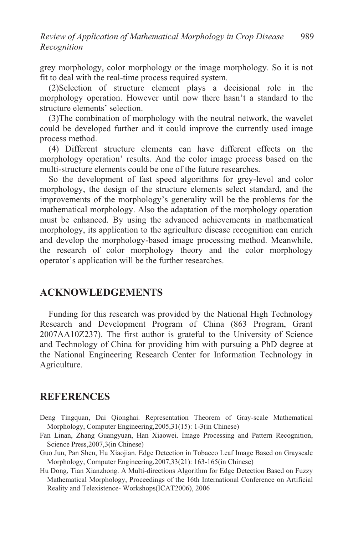grey morphology, color morphology or the image morphology. So it is not fit to deal with the real-time process required system.

(2)Selection of structure element plays a decisional role in the morphology operation. However until now there hasn't a standard to the structure elements' selection.

(3)The combination of morphology with the neutral network, the wavelet could be developed further and it could improve the currently used image process method.

(4) Different structure elements can have different effects on the morphology operation' results. And the color image process based on the multi-structure elements could be one of the future researches.

So the development of fast speed algorithms for grey-level and color morphology, the design of the structure elements select standard, and the improvements of the morphology's generality will be the problems for the mathematical morphology. Also the adaptation of the morphology operation must be enhanced. By using the advanced achievements in mathematical morphology, its application to the agriculture disease recognition can enrich and develop the morphology-based image processing method. Meanwhile, the research of color morphology theory and the color morphology operator's application will be the further researches.

#### **ACKNOWLEDGEMENTS**

Funding for this research was provided by the National High Technology Research and Development Program of China (863 Program, Grant 2007AA10Z237). The first author is grateful to the University of Science and Technology of China for providing him with pursuing a PhD degree at the National Engineering Research Center for Information Technology in Agriculture.

#### **REFERENCES**

- Deng Tingquan, Dai Qionghai. Representation Theorem of Gray-scale Mathematical Morphology, Computer Engineering,2005,31(15): 1-3(in Chinese)
- Fan Linan, Zhang Guangyuan, Han Xiaowei. Image Processing and Pattern Recognition, Science Press,2007,3(in Chinese)
- Guo Jun, Pan Shen, Hu Xiaojian. Edge Detection in Tobacco Leaf Image Based on Grayscale Morphology, Computer Engineering,2007,33(21): 163-165(in Chinese)
- Hu Dong, Tian Xianzhong. A Multi-directions Algorithm for Edge Detection Based on Fuzzy Mathematical Morphology, Proceedings of the 16th International Conference on Artificial Reality and Telexistence- Workshops(ICAT2006), 2006